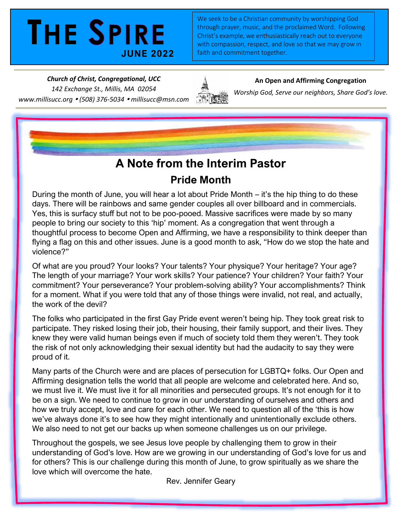# 0` **THE JUNE 2022**

We seek to be a Christian community by worshipping God through prayer, music, and the proclaimed Word. Following Christ's example, we enthusiastically reach out to everyone with compassion, respect, and love so that we may grow in faith and commitment together.

*Church of Christ, Congregational, UCC 142 Exchange St., Millis, MA 02054 [www.millisucc.org](http://www.millisucc.org/) (508) 376-5034 [millisucc@msn.com](mailto:millisucc@msn.com)*



#### **An Open and Affirming Congregation**

*Worship God, Serve our neighbors, Share God's love.*

# **A Note from the Interim Pastor Pride Month**

During the month of June, you will hear a lot about Pride Month – it's the hip thing to do these days. There will be rainbows and same gender couples all over billboard and in commercials. Yes, this is surfacy stuff but not to be poo-pooed. Massive sacrifices were made by so many people to bring our society to this 'hip' moment. As a congregation that went through a thoughtful process to become Open and Affirming, we have a responsibility to think deeper than flying a flag on this and other issues. June is a good month to ask, "How do we stop the hate and violence?"

Of what are you proud? Your looks? Your talents? Your physique? Your heritage? Your age? The length of your marriage? Your work skills? Your patience? Your children? Your faith? Your commitment? Your perseverance? Your problem-solving ability? Your accomplishments? Think for a moment. What if you were told that any of those things were invalid, not real, and actually, the work of the devil?

The folks who participated in the first Gay Pride event weren't being hip. They took great risk to participate. They risked losing their job, their housing, their family support, and their lives. They knew they were valid human beings even if much of society told them they weren't. They took the risk of not only acknowledging their sexual identity but had the audacity to say they were proud of it.

Many parts of the Church were and are places of persecution for LGBTQ+ folks. Our Open and Affirming designation tells the world that all people are welcome and celebrated here. And so, we must live it. We must live it for all minorities and persecuted groups. It's not enough for it to be on a sign. We need to continue to grow in our understanding of ourselves and others and how we truly accept, love and care for each other. We need to question all of the 'this is how we've always done it's to see how they might intentionally and unintentionally exclude others. We also need to not get our backs up when someone challenges us on our privilege.

Throughout the gospels, we see Jesus love people by challenging them to grow in their understanding of God's love. How are we growing in our understanding of God's love for us and for others? This is our challenge during this month of June, to grow spiritually as we share the love which will overcome the hate.

Rev. Jennifer Geary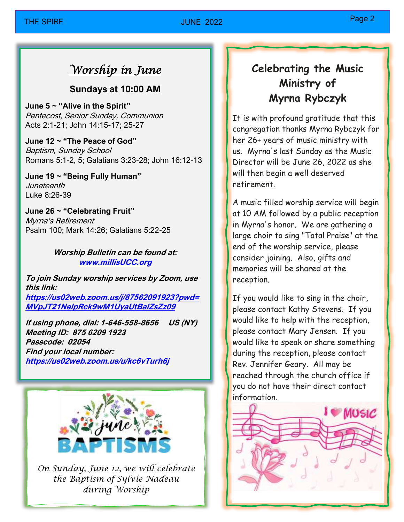# *Worship in June*

### **Sundays at 10:00 AM**

**June 5 ~ "Alive in the Spirit"**  Pentecost, Senior Sunday, Communion Acts 2:1-21; John 14:15-17; 25-27

**June 12 ~ "The Peace of God"** Baptism, Sunday School Romans 5:1-2, 5; Galatians 3:23-28; John 16:12-13

**June 19 ~ "Being Fully Human"** Juneteenth Luke 8:26-39

**June 26 ~ "Celebrating Fruit"** Myrna's Retirement Psalm 100; Mark 14:26; Galatians 5:22-25

> **Worship Bulletin can be found at: [www.millisUCC.org](http://www.millisucc.org/)**

**To join Sunday worship services by Zoom, use this link: [https://us02web.zoom.us/j/87562091923?pwd=](https://us02web.zoom.us/j/87562091923?pwd=MVpJT21NelpRck9wM1UyaUtBalZsZz09) [MVpJT21NelpRck9wM1UyaUtBalZsZz09](https://us02web.zoom.us/j/87562091923?pwd=MVpJT21NelpRck9wM1UyaUtBalZsZz09)**

**If using phone, dial: 1-646-558-8656 US (NY) Meeting ID: 875 6209 1923 Passcode: 02054 Find your local number: <https://us02web.zoom.us/u/kc6vTurh6j>**



*On Sunday, June 12, we will celebrate the Baptism of Sylvie Nadeau during Worship*

# **Celebrating the Music Ministry of Myrna Rybczyk**

It is with profound gratitude that this congregation thanks Myrna Rybczyk for her 26+ years of music ministry with us. Myrna's last Sunday as the Music Director will be June 26, 2022 as she will then begin a well deserved retirement.

A music filled worship service will begin at 10 AM followed by a public reception in Myrna's honor. We are gathering a large choir to sing "Total Praise" at the end of the worship service, please consider joining. Also, gifts and memories will be shared at the reception.

If you would like to sing in the choir, please contact Kathy Stevens. If you would like to help with the reception, please contact Mary Jensen. If you would like to speak or share something during the reception, please contact Rev. Jennifer Geary. All may be reached through the church office if you do not have their direct contact information.

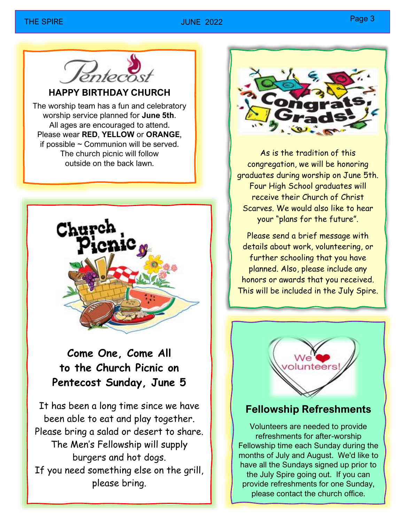

### **HAPPY BIRTHDAY CHURCH**

The worship team has a fun and celebratory worship service planned for **June 5th**. All ages are encouraged to attend. Please wear **RED**, **YELLOW** or **ORANGE**, if possible  $\sim$  Communion will be served. The church picnic will follow outside on the back lawn.

L



# **Come One, Come All to the Church Picnic on Pentecost Sunday, June 5**

It has been a long time since we have been able to eat and play together. Please bring a salad or desert to share. The Men's Fellowship will supply burgers and hot dogs. If you need something else on the grill, please bring.



As is the tradition of this congregation, we will be honoring graduates during worship on June 5th. Four High School graduates will receive their Church of Christ Scarves. We would also like to hear your "plans for the future".

Please send a brief message with details about work, volunteering, or further schooling that you have planned. Also, please include any honors or awards that you received. This will be included in the July Spire.



## **Fellowship Refreshments**

Volunteers are needed to provide refreshments for after-worship Fellowship time each Sunday during the months of July and August. We'd like to have all the Sundays signed up prior to the July Spire going out. If you can provide refreshments for one Sunday, please contact the church office.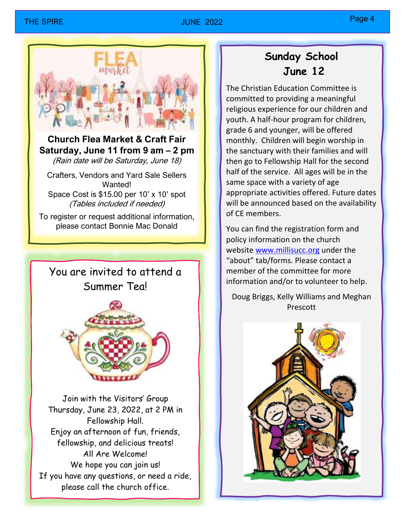

**Church Flea Market & Craft Fair Saturday, June 11 from 9 am – 2 pm** (Rain date will be Saturday, June 18)

Crafters, Vendors and Yard Sale Sellers Wanted! Space Cost is \$15.00 per 10' x 10' spot (Tables included if needed)

To register or request additional information, please contact Bonnie Mac Donald

# You are invited to attend a Summer Tea!



Join with the Visitors' Group Thursday, June 23, 2022, at 2 PM in Fellowship Hall. Enjoy an afternoon of fun, friends, fellowship, and delicious treats! All Are Welcome! We hope you can join us! If you have any questions, or need a ride, please call the church office.

# **Sunday School June 12**

The Christian Education Committee is committed to providing a meaningful religious experience for our children and youth. A half-hour program for children, grade 6 and younger, will be offered monthly. Children will begin worship in the sanctuary with their families and will then go to Fellowship Hall for the second half of the service. All ages will be in the same space with a variety of age appropriate activities offered. Future dates will be announced based on the availability of CE members.

You can find the registration form and policy information on the church website [www.millisucc.org](http://www.millisucc.org/) under the "about" tab/forms. Please contact a member of the committee for more information and/or to volunteer to help.

Doug Briggs, Kelly Williams and Meghan Prescott



Ī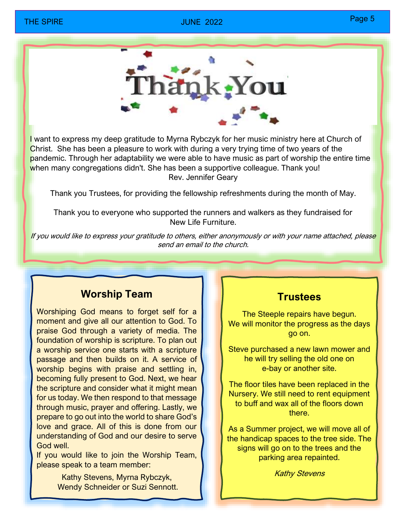JUNE 2022 THE SPIRE THE SPIRE And the state of the state of the state of the state of the state  $\sim$  Page 5



I want to express my deep gratitude to Myrna Rybczyk for her music ministry here at Church of Christ. She has been a pleasure to work with during a very trying time of two years of the pandemic. Through her adaptability we were able to have music as part of worship the entire time when many congregations didn't. She has been a supportive colleague. Thank you! Rev. Jennifer Geary

Thank you Trustees, for providing the fellowship refreshments during the month of May.

Thank you to everyone who supported the runners and walkers as they fundraised for New Life Furniture.

If you would like to express your gratitude to others, either anonymously or with your name attached, please send an email to the church.

# **Worship Team**

Worshiping God means to forget self for a moment and give all our attention to God. To praise God through a variety of media. The foundation of worship is scripture. To plan out a worship service one starts with a scripture passage and then builds on it. A service of worship begins with praise and settling in, becoming fully present to God. Next, we hear the scripture and consider what it might mean for us today. We then respond to that message through music, prayer and offering. Lastly, we prepare to go out into the world to share God's love and grace. All of this is done from our understanding of God and our desire to serve God well.

If you would like to join the Worship Team, please speak to a team member:

> Kathy Stevens, Myrna Rybczyk, Wendy Schneider or Suzi Sennott.

### **Trustees**

The Steeple repairs have begun. We will monitor the progress as the days go on.

Steve purchased a new lawn mower and he will try selling the old one on e-bay or another site.

The floor tiles have been replaced in the Nursery. We still need to rent equipment to buff and wax all of the floors down there.

As a Summer project, we will move all of the handicap spaces to the tree side. The signs will go on to the trees and the parking area repainted.

Kathy Stevens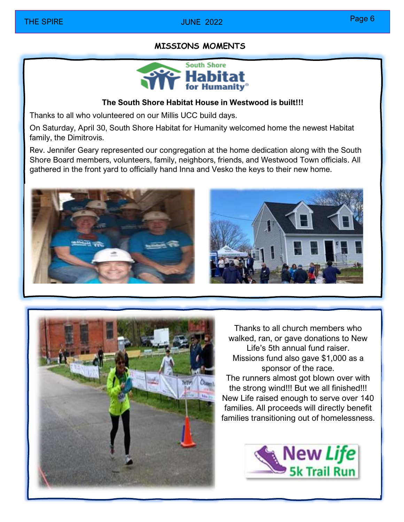### **MISSIONS MOMENTS**



### **The South Shore Habitat House in Westwood is built!!!**

Thanks to all who volunteered on our Millis UCC build days.

On Saturday, April 30, South Shore Habitat for Humanity welcomed home the newest Habitat family, the Dimitrovis.

Rev. Jennifer Geary represented our congregation at the home dedication along with the South Shore Board members, volunteers, family, neighbors, friends, and Westwood Town officials. All gathered in the front yard to officially hand Inna and Vesko the keys to their new home.





Thanks to all church members who walked, ran, or gave donations to New Life's 5th annual fund raiser. Missions fund also gave \$1,000 as a sponsor of the race. The runners almost got blown over with the strong wind!!! But we all finished!!! New Life raised enough to serve over 140 families. All proceeds will directly benefit families transitioning out of homelessness.

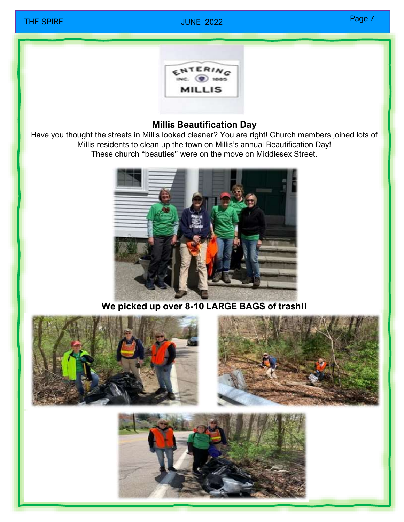l

#### JUNE 2022 THE SPIRE THE SPIRE THE SPIRE AND THE SPIRE THE SPIRE THE SPIRE THE SPIRE THE SPIRE THE SPIRE THE SPIRE THE SP



### **Millis Beautification Day**

Have you thought the streets in Millis looked cleaner? You are right! Church members joined lots of Millis residents to clean up the town on Millis's annual Beautification Day! These church "beauties" were on the move on Middlesex Street.



**We picked up over 8-10 LARGE BAGS of trash!!**

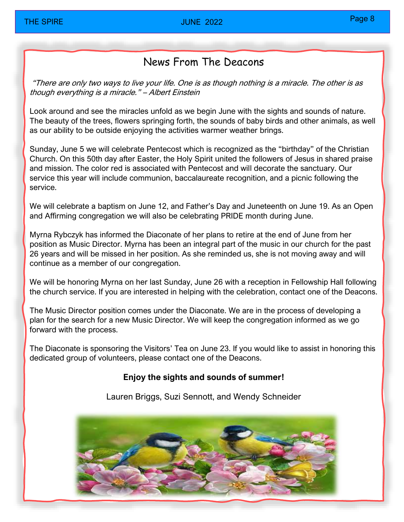l,

# News From The Deacons

"There are only two ways to live your life. One is as though nothing is a miracle. The other is as though everything is a miracle." – Albert Einstein

Look around and see the miracles unfold as we begin June with the sights and sounds of nature. The beauty of the trees, flowers springing forth, the sounds of baby birds and other animals, as well as our ability to be outside enjoying the activities warmer weather brings.

Sunday, June 5 we will celebrate Pentecost which is recognized as the "birthday" of the Christian Church. On this 50th day after Easter, the Holy Spirit united the followers of Jesus in shared praise and mission. The color red is associated with Pentecost and will decorate the sanctuary. Our service this year will include communion, baccalaureate recognition, and a picnic following the service.

We will celebrate a baptism on June 12, and Father's Day and Juneteenth on June 19. As an Open and Affirming congregation we will also be celebrating PRIDE month during June.

Myrna Rybczyk has informed the Diaconate of her plans to retire at the end of June from her position as Music Director. Myrna has been an integral part of the music in our church for the past 26 years and will be missed in her position. As she reminded us, she is not moving away and will continue as a member of our congregation.

We will be honoring Myrna on her last Sunday, June 26 with a reception in Fellowship Hall following the church service. If you are interested in helping with the celebration, contact one of the Deacons.

The Music Director position comes under the Diaconate. We are in the process of developing a plan for the search for a new Music Director. We will keep the congregation informed as we go forward with the process.

The Diaconate is sponsoring the Visitors' Tea on June 23. If you would like to assist in honoring this dedicated group of volunteers, please contact one of the Deacons.

### **Enjoy the sights and sounds of summer!**

Lauren Briggs, Suzi Sennott, and Wendy Schneider

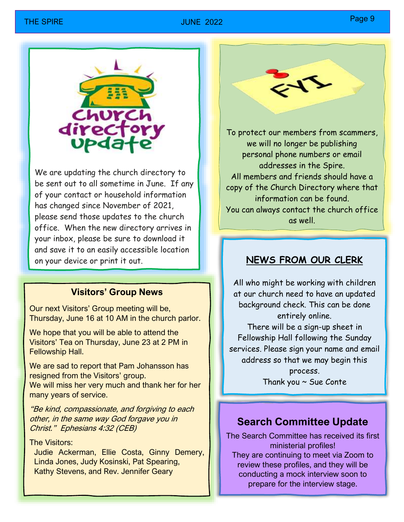

We are updating the church directory to be sent out to all sometime in June. If any of your contact or household information has changed since November of 2021, please send those updates to the church office. When the new directory arrives in your inbox, please be sure to download it and save it to an easily accessible location on your device or print it out.

### **Visitors' Group News**

Our next Visitors' Group meeting will be, Thursday, June 16 at 10 AM in the church parlor.

We hope that you will be able to attend the Visitors' Tea on Thursday, June 23 at 2 PM in Fellowship Hall.

We are sad to report that Pam Johansson has resigned from the Visitors' group. We will miss her very much and thank her for her many years of service.

"Be kind, compassionate, and forgiving to each other, in the same way God forgave you in Christ." Ephesians 4:32 (CEB)

### The Visitors:

Judie Ackerman, Ellie Costa, Ginny Demery, Linda Jones, Judy Kosinski, Pat Spearing, Kathy Stevens, and Rev. Jennifer Geary



To protect our members from scammers, we will no longer be publishing personal phone numbers or email addresses in the Spire. All members and friends should have a copy of the Church Directory where that information can be found. You can always contact the church office as well.

### **NEWS FROM OUR CLERK**

All who might be working with children at our church need to have an updated background check. This can be done entirely online.

There will be a sign-up sheet in Fellowship Hall following the Sunday services. Please sign your name and email address so that we may begin this process.

Thank you  $\sim$  Sue Conte

# **Search Committee Update**

The Search Committee has received its first ministerial profiles! They are continuing to meet via Zoom to review these profiles, and they will be conducting a mock interview soon to prepare for the interview stage.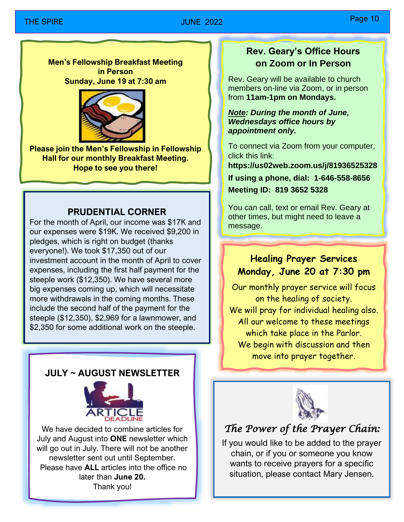#### JUNE 2022 THE SPIRE THE SPIRE And the state of the state of the state of the state of the state  $\sim$  Page 10  $\,$

**Men's Fellowship Breakfast Meeting in Person Sunday, June 19 at 7:30 am**



**Please join the Men's Fellowship in Fellowship Hall for our monthly Breakfast Meeting. Hope to see you there!**

# **PRUDENTIAL CORNER**

For the month of April, our income was \$17K and our expenses were \$19K. We received \$9,200 in pledges, which is right on budget (thanks everyone!). We took \$17,350 out of our investment account in the month of April to cover expenses, including the first half payment for the steeple work (\$12,350). We have several more big expenses coming up, which will necessitate more withdrawals in the coming months. These include the second half of the payment for the steeple (\$12,350), \$2,969 for a lawnmower, and \$2,350 for some additional work on the steeple.

# **JULY ~ AUGUST NEWSLETTER**



We have decided to combine articles for July and August into **ONE** newsletter which will go out in July. There will not be another newsletter sent out until September. Please have **ALL** articles into the office no later than **June 20.** Thank you!

# **Rev. Geary's Office Hours on Zoom or In Person**

Rev. Geary will be available to church members on-line via Zoom, or in person from **11am-1pm on Mondays.** 

*Note: During the month of June, Wednesdays office hours by appointment only.*

To connect via Zoom from your computer, click this link:

**https://us02web.zoom.us/j/81936525328**

**If using a phone, dial: 1-646-558-8656 Meeting ID: 819 3652 5328**

You can call, text or email Rev. Geary at other times, but might need to leave a message.

# **Healing Prayer Services Monday, June 20 at 7:30 pm**

Our monthly prayer service will focus on the healing of society. We will pray for individual healing also. All our welcome to these meetings which take place in the Parlor. We begin with discussion and then move into prayer together.



# *The Power of the Prayer Chain:*

If you would like to be added to the prayer chain, or if you or someone you know wants to receive prayers for a specific situation, please contact Mary Jensen.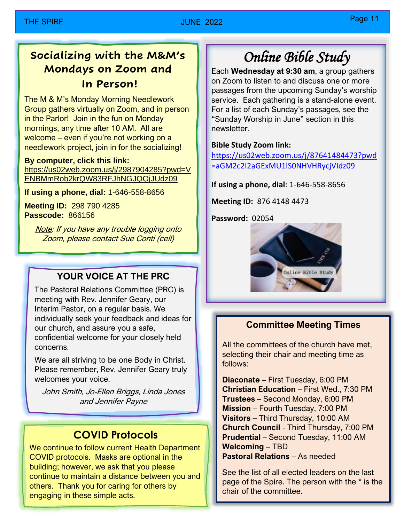# **Socializing with the M&M's Mondays on Zoom and In Person!**

The M & M's Monday Morning Needlework Group gathers virtually on Zoom, and in person in the Parlor! Join in the fun on Monday mornings, any time after 10 AM. All are welcome – even if you're not working on a needlework project, join in for the socializing!

### **By computer, click this link:**

[https://us02web.zoom.us/j/2987904285?pwd=V](https://us02web.zoom.us/j/2987904285?pwd=VENBMmRob2krQW83RFJhNGJQQjJUdz09) [ENBMmRob2krQW83RFJhNGJQQjJUdz09](https://us02web.zoom.us/j/2987904285?pwd=VENBMmRob2krQW83RFJhNGJQQjJUdz09)

**If using a phone, dial:** 1-646-558-8656

**Meeting ID:** 298 790 4285 **Passcode:** 866156

Ĺ

Note: If you have any trouble logging onto Zoom, please contact Sue Conti (cell)

## **YOUR VOICE AT THE PRC**

The Pastoral Relations Committee (PRC) is meeting with Rev. Jennifer Geary, our Interim Pastor, on a regular basis. We individually seek your feedback and ideas for our church, and assure you a safe, confidential welcome for your closely held concerns.

We are all striving to be one Body in Christ. Please remember, Rev. Jennifer Geary truly welcomes your voice.

John Smith, Jo-Ellen Briggs, Linda Jones and Jennifer Payne

# **COVID Protocols**

We continue to follow current Health Department COVID protocols. Masks are optional in the building; however, we ask that you please continue to maintain a distance between you and others. Thank you for caring for others by engaging in these simple acts.

# *Online Bible Study*

Each **Wednesday at 9:30 am**, a group gathers on Zoom to listen to and discuss one or more passages from the upcoming Sunday's worship service. Each gathering is a stand-alone event. For a list of each Sunday's passages, see the "Sunday Worship in June" section in this newsletter.

### **Bible Study Zoom link:**

[https://us02web.zoom.us/j/87641484473?pwd](https://us02web.zoom.us/j/87641484473?pwd=aGM2c2I2aGExMU1lS0NHVHRycjVIdz09) [=aGM2c2I2aGExMU1lS0NHVHRycjVIdz09](https://us02web.zoom.us/j/87641484473?pwd=aGM2c2I2aGExMU1lS0NHVHRycjVIdz09)

**If using a phone, dial**: 1-646-558-8656

**Meeting ID:** 876 4148 4473

**Password:** 02054



## **Committee Meeting Times**

All the committees of the church have met, selecting their chair and meeting time as follows:

**Diaconate** – First Tuesday, 6:00 PM **Christian Education** – First Wed., 7:30 PM **Trustees** – Second Monday, 6:00 PM **Mission** – Fourth Tuesday, 7:00 PM **Visitors** – Third Thursday, 10:00 AM **Church Council** - Third Thursday, 7:00 PM **Prudential** – Second Tuesday, 11:00 AM **Welcoming** – TBD **Pastoral Relations** – As needed

See the list of all elected leaders on the last page of the Spire. The person with the \* is the chair of the committee.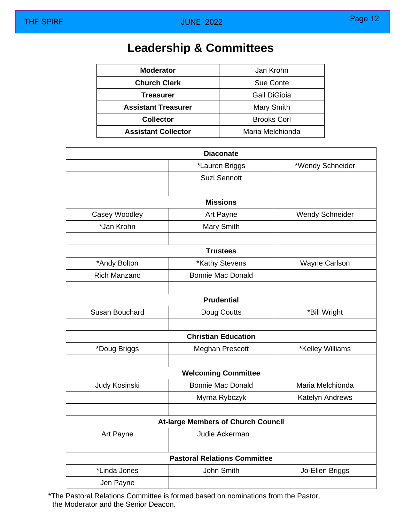# **Leadership & Committees**

| <b>Moderator</b><br>Jan Krohn |                     |  |
|-------------------------------|---------------------|--|
| <b>Church Clerk</b>           | Sue Conte           |  |
| <b>Treasurer</b>              | <b>Gail DiGioia</b> |  |
| <b>Assistant Treasurer</b>    | Mary Smith          |  |
| <b>Collector</b>              | <b>Brooks Corl</b>  |  |
| <b>Assistant Collector</b>    | Maria Melchionda    |  |

|                | <b>Diaconate</b>                          |                        |
|----------------|-------------------------------------------|------------------------|
|                | *Lauren Briggs                            | *Wendy Schneider       |
|                | <b>Suzi Sennott</b>                       |                        |
|                | <b>Missions</b>                           |                        |
| Casey Woodley  | Art Payne                                 | <b>Wendy Schneider</b> |
| *Jan Krohn     | Mary Smith                                |                        |
|                | <b>Trustees</b>                           |                        |
| *Andy Bolton   | *Kathy Stevens                            | <b>Wayne Carlson</b>   |
| Rich Manzano   | <b>Bonnie Mac Donald</b>                  |                        |
|                | <b>Prudential</b>                         |                        |
| Susan Bouchard | Doug Coutts                               | *Bill Wright           |
|                | <b>Christian Education</b>                |                        |
|                |                                           |                        |
| *Doug Briggs   | Meghan Prescott                           | *Kelley Williams       |
|                | <b>Welcoming Committee</b>                |                        |
| Judy Kosinski  | <b>Bonnie Mac Donald</b>                  | Maria Melchionda       |
|                | Myrna Rybczyk                             | Katelyn Andrews        |
|                |                                           |                        |
|                | <b>At-large Members of Church Council</b> |                        |
| Art Payne      | Judie Ackerman                            |                        |
|                | <b>Pastoral Relations Committee</b>       |                        |
| *Linda Jones   | John Smith                                | Jo-Ellen Briggs        |
| Jen Payne      |                                           |                        |

\*The Pastoral Relations Committee is formed based on nominations from the Pastor, the Moderator and the Senior Deacon.